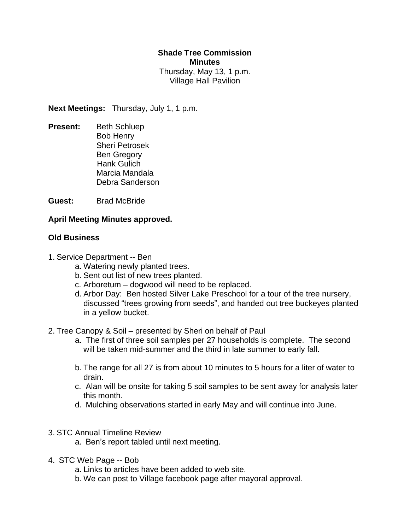## **Shade Tree Commission Minutes**

Thursday, May 13, 1 p.m. Village Hall Pavilion

**Next Meetings:** Thursday, July 1, 1 p.m.

**Present:** Beth Schluep Bob Henry Sheri Petrosek Ben Gregory Hank Gulich Marcia Mandala Debra Sanderson

**Guest:** Brad McBride

## **April Meeting Minutes approved.**

## **Old Business**

- 1. Service Department -- Ben
	- a. Watering newly planted trees.
	- b. Sent out list of new trees planted.
	- c. Arboretum dogwood will need to be replaced.
	- d. Arbor Day: Ben hosted Silver Lake Preschool for a tour of the tree nursery, discussed "trees growing from seeds", and handed out tree buckeyes planted in a yellow bucket.
- 2. Tree Canopy & Soil presented by Sheri on behalf of Paul
	- a. The first of three soil samples per 27 households is complete. The second will be taken mid-summer and the third in late summer to early fall.
	- b. The range for all 27 is from about 10 minutes to 5 hours for a liter of water to drain.
	- c. Alan will be onsite for taking 5 soil samples to be sent away for analysis later this month.
	- d. Mulching observations started in early May and will continue into June.
- 3. STC Annual Timeline Review
	- a. Ben's report tabled until next meeting.
- 4. STC Web Page -- Bob
	- a. Links to articles have been added to web site.
	- b. We can post to Village facebook page after mayoral approval.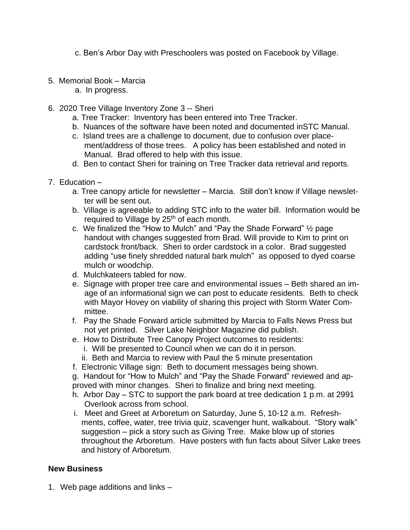c. Ben's Arbor Day with Preschoolers was posted on Facebook by Village.

- 5. Memorial Book Marcia
	- a. In progress.
- 6. 2020 Tree Village Inventory Zone 3 -- Sheri
	- a. Tree Tracker: Inventory has been entered into Tree Tracker.
	- b. Nuances of the software have been noted and documented inSTC Manual.
	- c. Island trees are a challenge to document, due to confusion over placement/address of those trees. A policy has been established and noted in Manual. Brad offered to help with this issue.
	- d. Ben to contact Sheri for training on Tree Tracker data retrieval and reports.
- 7. Education
	- a. Tree canopy article for newsletter Marcia. Still don't know if Village newsletter will be sent out.
	- b. Village is agreeable to adding STC info to the water bill. Information would be required to Village by  $25<sup>th</sup>$  of each month.
	- c. We finalized the "How to Mulch" and "Pay the Shade Forward" ½ page handout with changes suggested from Brad. Will provide to Kim to print on cardstock front/back. Sheri to order cardstock in a color. Brad suggested adding "use finely shredded natural bark mulch" as opposed to dyed coarse mulch or woodchip.
	- d. Mulchkateers tabled for now.
	- e. Signage with proper tree care and environmental issues Beth shared an image of an informational sign we can post to educate residents. Beth to check with Mayor Hovey on viability of sharing this project with Storm Water Committee.
	- f. Pay the Shade Forward article submitted by Marcia to Falls News Press but not yet printed. Silver Lake Neighbor Magazine did publish.
	- e. How to Distribute Tree Canopy Project outcomes to residents:
		- i. Will be presented to Council when we can do it in person.
		- ii. Beth and Marcia to review with Paul the 5 minute presentation
	- f. Electronic Village sign: Beth to document messages being shown.

g. Handout for "How to Mulch" and "Pay the Shade Forward" reviewed and approved with minor changes. Sheri to finalize and bring next meeting.

- h. Arbor Day STC to support the park board at tree dedication 1 p.m. at 2991 Overlook across from school.
- i. Meet and Greet at Arboretum on Saturday, June 5, 10-12 a.m. Refreshments, coffee, water, tree trivia quiz, scavenger hunt, walkabout. "Story walk" suggestion – pick a story such as Giving Tree. Make blow up of stories throughout the Arboretum. Have posters with fun facts about Silver Lake trees and history of Arboretum.

## **New Business**

1. Web page additions and links –